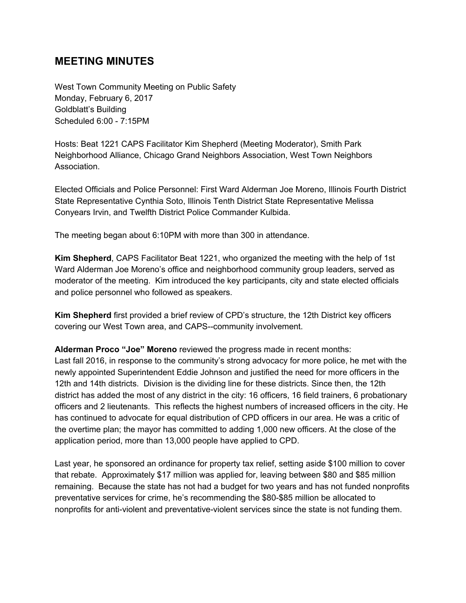# **MEETING MINUTES**

West Town Community Meeting on Public Safety Monday, February 6, 2017 Goldblatt's Building Scheduled 6:00 - 7:15PM

Hosts: Beat 1221 CAPS Facilitator Kim Shepherd (Meeting Moderator), Smith Park Neighborhood Alliance, Chicago Grand Neighbors Association, West Town Neighbors Association.

Elected Officials and Police Personnel: First Ward Alderman Joe Moreno, Illinois Fourth District State Representative Cynthia Soto, Illinois Tenth District State Representative Melissa Conyears Irvin, and Twelfth District Police Commander Kulbida.

The meeting began about 6:10PM with more than 300 in attendance.

**Kim Shepherd**, CAPS Facilitator Beat 1221, who organized the meeting with the help of 1st Ward Alderman Joe Moreno's office and neighborhood community group leaders, served as moderator of the meeting. Kim introduced the key participants, city and state elected officials and police personnel who followed as speakers.

**Kim Shepherd** first provided a brief review of CPD's structure, the 12th District key officers covering our West Town area, and CAPS--community involvement.

**Alderman Proco "Joe" Moreno** re viewed the progress made in recent months: Last fall 2016, in response to the community's strong advocacy for more police, he met with the newly appointed Superintendent Eddie Johnson and justified the need for more officers in the 12th and 14th districts. Division is the dividing line for these districts. Since then, the 12th district has added the most of any district in the city: 16 officers, 16 field trainers, 6 probationary officers and 2 lieutenants. This reflects the highest numbers of increased officers in the city. He has continued to advocate for equal distribution of CPD officers in our area. He was a critic of the overtime plan; the mayor has committed to adding 1,000 new officers. At the close of the application period, more than 13,000 people have applied to CPD.

Last year, he sponsored an ordinance for property tax relief, setting aside \$100 million to cover that rebate. Approximately \$17 million was applied for, leaving between \$80 and \$85 million remaining. Because the state has not had a budget for two years and has not funded nonprofits preventative services for crime, he's recommending the \$80-\$85 million be allocated to nonprofits for anti-violent and preventative-violent services since the state is not funding them.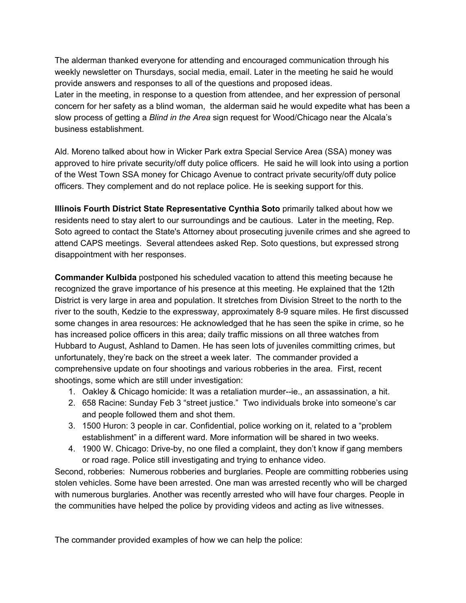The alderman thanked everyone for attending and encouraged communication through his weekly newsletter on Thursdays, social media, email. Later in the meeting he said he would provide answers and responses to all of the questions and proposed ideas.

Later in the meeting, in response to a question from attendee, and her expression of personal concern for her safety as a blind woman, the alderman said he would expedite what has been a slow process of getting a *Blind in the Area* sign request for Wood/Chicago near the Alcala's business establishment.

Ald. Moreno talked about how in Wicker Park extra Special Service Area (SSA) money was approved to hire private security/off duty police officers. He said he will look into using a portion of the West Town SSA money for Chicago Avenue to contract private security/off duty police officers. They complement and do not replace police. He is seeking support for this.

**Illinois Fourth District State Representative Cynthia Soto primarily talked about how we** residents need to stay alert to our surroundings and be cautious. Later in the meeting, Rep. Soto agreed to contact the State's Attorney about prosecuting juvenile crimes and she agreed to attend CAPS meetings. Several attendees asked Rep. Soto questions, but expressed strong disappointment with her responses.

**Commander Kulbida** postponed his scheduled vacation to attend this meeting because he recognized the grave importance of his presence at this meeting. He explained that the 12th District is very large in area and population. It stretches from Division Street to the north to the river to the south, Kedzie to the expressway, approximately 8-9 square miles. He first discussed some changes in area resources: He acknowledged that he has seen the spike in crime, so he has increased police officers in this area; daily traffic missions on all three watches from Hubbard to August, Ashland to Damen. He has seen lots of juveniles committing crimes, but unfortunately, they're back on the street a week later. The commander provided a comprehensive update on four shootings and various robberies in the area. First, recent shootings, some which are still under investigation:

- 1. Oakley & Chicago homicide: It was a retaliation murder--ie., an assassination, a hit.
- 2. 658 Racine: Sunday Feb 3 "street justice." Two individuals broke into someone's car and people followed them and shot them.
- 3. 1500 Huron: 3 people in car. Confidential, police working on it, related to a "problem establishment" in a different ward. More information will be shared in two weeks.
- 4. 1900 W. Chicago: Drive-by, no one filed a complaint, they don't know if gang members or road rage. Police still investigating and trying to enhance video.

Second, robberies: Numerous robberies and burglaries. People are committing robberies using stolen vehicles. Some have been arrested. One man was arrested recently who will be charged with numerous burglaries. Another was recently arrested who will have four charges. People in the communities have helped the police by providing videos and acting as live witnesses.

The commander provided examples of how we can help the police: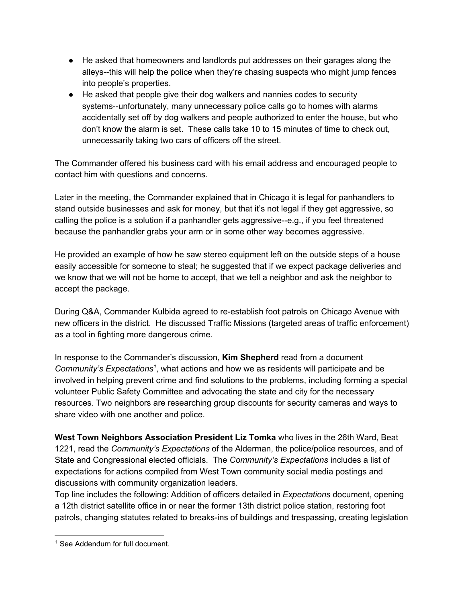- He asked that homeowners and landlords put addresses on their garages along the alleys--this will help the police when they're chasing suspects who might jump fences into people's properties.
- He asked that people give their dog walkers and nannies codes to security systems--unfortunately, many unnecessary police calls go to homes with alarms accidentally set off by dog walkers and people authorized to enter the house, but who don't know the alarm is set. These calls take 10 to 15 minutes of time to check out, unnecessarily taking two cars of officers off the street.

The Commander offered his business card with his email address and encouraged people to contact him with questions and concerns.

Later in the meeting, the Commander explained that in Chicago it is legal for panhandlers to stand outside businesses and ask for money, but that it's not legal if they get aggressive, so calling the police is a solution if a panhandler gets aggressive--e.g., if you feel threatened because the panhandler grabs your arm or in some other way becomes aggressive.

He provided an example of how he saw stereo equipment left on the outside steps of a house easily accessible for someone to steal; he suggested that if we expect package deliveries and we know that we will not be home to accept, that we tell a neighbor and ask the neighbor to accept the package.

During Q&A, Commander Kulbida agreed to re-establish foot patrols on Chicago Avenue with new officers in the district. He discussed Traffic Missions (targeted areas of traffic enforcement) as a tool in fighting more dangerous crime.

In response to the Commander's discussion, **Kim Shepherd** read from a document Community's Expectations<sup>1</sup>, what actions and how we as residents will participate and be involved in helping prevent crime and find solutions to the problems, including forming a special volunteer Public Safety Committee and advocating the state and city for the necessary resources. Two neighbors are researching group discounts for security cameras and ways to share video with one another and police.

**West Town Neighbors Association President Liz Tomka** who lives in the 26th Ward, Beat 1221, read the *Community's Expectations* of the Alderman, the police/police resources, and of State and Congressional elected officials. The *Community's Expectations* includes a list of expectations for actions compiled from West Town community social media postings and discussions with community organization leaders.

Top line includes the following: Addition of officers detailed in *Expectations* document, opening a 12th district satellite office in or near the former 13th district police station, restoring foot patrols, changing statutes related to breaks-ins of buildings and trespassing, creating legislation

<sup>&</sup>lt;sup>1</sup> See Addendum for full document.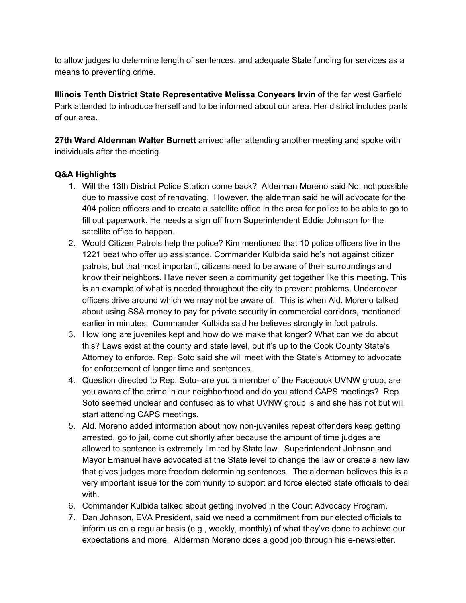to allow judges to determine length of sentences, and adequate State funding for services as a means to preventing crime.

**Illinois Tenth District State Representative Melissa Conyears Irvin** of the far west Garfield Park attended to introduce herself and to be informed about our area. Her district includes parts of our area.

**27th Ward Alderman Walter Burnett** arrived after attending another meeting and spoke with individuals after the meeting.

## **Q&A Highlights**

- 1. Will the 13th District Police Station come back? Alderman Moreno said No, not possible due to massive cost of renovating. However, the alderman said he will advocate for the 404 police officers and to create a satellite office in the area for police to be able to go to fill out paperwork. He needs a sign off from Superintendent Eddie Johnson for the satellite office to happen.
- 2. Would Citizen Patrols help the police? Kim mentioned that 10 police officers live in the 1221 beat who offer up assistance. Commander Kulbida said he's not against citizen patrols, but that most important, citizens need to be aware of their surroundings and know their neighbors. Have never seen a community get together like this meeting. This is an example of what is needed throughout the city to prevent problems. Undercover officers drive around which we may not be aware of. This is when Ald. Moreno talked about using SSA money to pay for private security in commercial corridors, mentioned earlier in minutes. Commander Kulbida said he believes strongly in foot patrols.
- 3. How long are juveniles kept and how do we make that longer? What can we do about this? Laws exist at the county and state level, but it's up to the Cook County State's Attorney to enforce. Rep. Soto said she will meet with the State's Attorney to advocate for enforcement of longer time and sentences.
- 4. Question directed to Rep. Soto--are you a member of the Facebook UVNW group, are you aware of the crime in our neighborhood and do you attend CAPS meetings? Rep. Soto seemed unclear and confused as to what UVNW group is and she has not but will start attending CAPS meetings.
- 5. Ald. Moreno added information about how non-juveniles repeat offenders keep getting arrested, go to jail, come out shortly after because the amount of time judges are allowed to sentence is extremely limited by State law. Superintendent Johnson and Mayor Emanuel have advocated at the State level to change the law or create a new law that gives judges more freedom determining sentences. The alderman believes this is a very important issue for the community to support and force elected state officials to deal with.
- 6. Commander Kulbida talked about getting involved in the Court Advocacy Program.
- 7. Dan Johnson, EVA President, said we need a commitment from our elected officials to inform us on a regular basis (e.g., weekly, monthly) of what they've done to achieve our expectations and more. Alderman Moreno does a good job through his e-newsletter.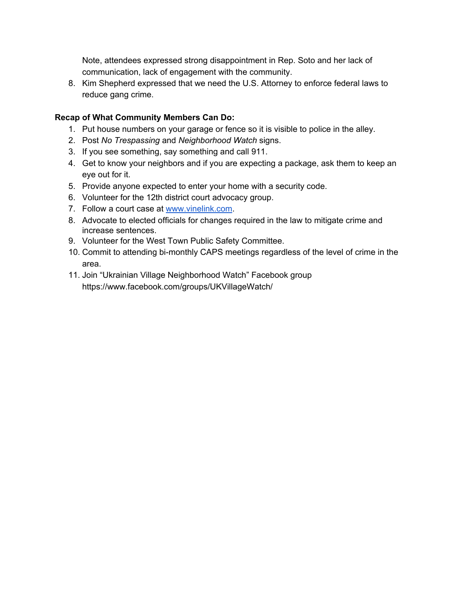Note, attendees expressed strong disappointment in Rep. Soto and her lack of communication, lack of engagement with the community.

8. Kim Shepherd expressed that we need the U.S. Attorney to enforce federal laws to reduce gang crime.

## **Recap of What Community Members Can Do:**

- 1. Put house numbers on your garage or fence so it is visible to police in the alley.
- 2. Post *No Trespassing* and *Neighborhood Watch* signs.
- 3. If you see something, say something and call 911.
- 4. Get to know your neighbors and if you are expecting a package, ask them to keep an eye out for it.
- 5. Provide anyone expected to enter your home with a security code.
- 6. Volunteer for the 12th district court advocacy group.
- 7. Follow a court case at [www.vinelink.com.](http://www.vinelink.com/)
- 8. Advocate to elected officials for changes required in the law to mitigate crime and increase sentences.
- 9. Volunteer for the West Town Public Safety Committee.
- 10. Commit to attending bi-monthly CAPS meetings regardless of the level of crime in the area.
- 11. Join "Ukrainian Village Neighborhood Watch" Facebook group https://www.facebook.com/groups/UKVillageWatch/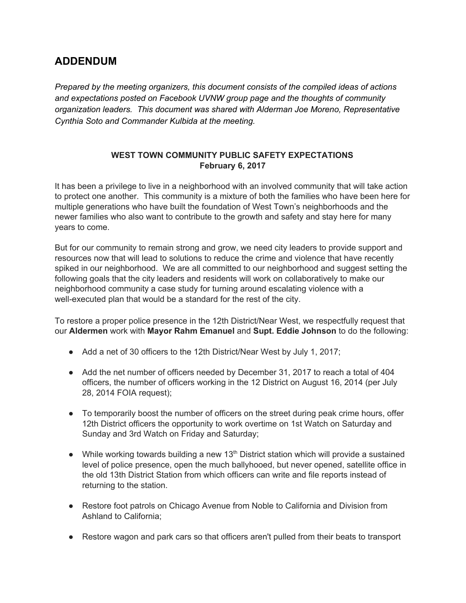# **ADDENDUM**

*Prepared by the meeting organizers, this document consists of the compiled ideas of actions and expectations posted on Facebook UVNW group page and the thoughts of community organization leaders. This document was shared with Alderman Joe Moreno, Representative Cynthia Soto and Commander Kulbida at the meeting.*

## **WEST TOWN COMMUNITY PUBLIC SAFETY EXPECTATIONS February 6, 2017**

It has been a privilege to live in a neighborhood with an involved community that will take action to protect one another. This community is a mixture of both the families who have been here for multiple generations who have built the foundation of West Town's neighborhoods and the newer families who also want to contribute to the growth and safety and stay here for many years to come.

But for our community to remain strong and grow, we need city leaders to provide support and resources now that will lead to solutions to reduce the crime and violence that have recently spiked in our neighborhood. We are all committed to our neighborhood and suggest setting the following goals that the city leaders and residents will work on collaboratively to make our neighborhood community a case study for turning around escalating violence with a well-executed plan that would be a standard for the rest of the city.

To restore a proper police presence in the 12th District/Near West, we respectfully request that our **Aldermen** work with **Mayor Rahm Emanuel** and **Supt. Eddie Johnson** to do the following:

- Add a net of 30 officers to the 12th District/Near West by July 1, 2017;
- Add the net number of officers needed by December 31, 2017 to reach a total of 404 officers, the number of officers working in the 12 District on August 16, 2014 (per July 28, 2014 FOIA request);
- To temporarily boost the number of officers on the street during peak crime hours, offer 12th District officers the opportunity to work overtime on 1st Watch on Saturday and Sunday and 3rd Watch on Friday and Saturday;
- $\bullet$  While working towards building a new 13<sup>th</sup> District station which will provide a sustained level of police presence, open the much ballyhooed, but never opened, satellite office in the old 13th District Station from which officers can write and file reports instead of returning to the station.
- Restore foot patrols on Chicago Avenue from Noble to California and Division from Ashland to California;
- Restore wagon and park cars so that officers aren't pulled from their beats to transport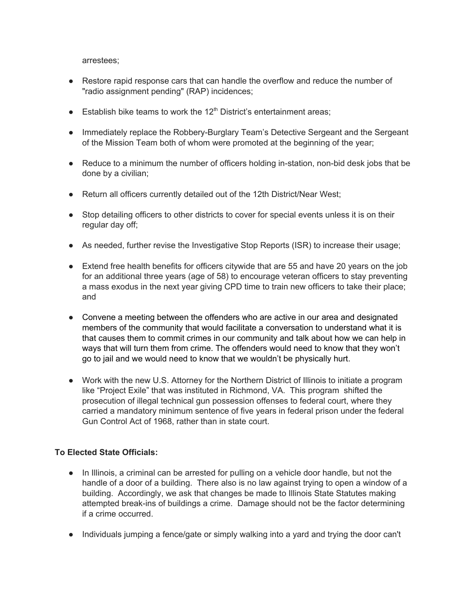arrestees;

- Restore rapid response cars that can handle the overflow and reduce the number of "radio assignment pending" (RAP) incidences;
- **Establish bike teams to work the 12<sup>th</sup> District's entertainment areas;**
- Immediately replace the Robbery-Burglary Team's Detective Sergeant and the Sergeant of the Mission Team both of whom were promoted at the beginning of the year;
- Reduce to a minimum the number of officers holding in-station, non-bid desk jobs that be done by a civilian;
- Return all officers currently detailed out of the 12th District/Near West;
- Stop detailing officers to other districts to cover for special events unless it is on their regular day off;
- As needed, further revise the Investigative Stop Reports (ISR) to increase their usage;
- Extend free health benefits for officers citywide that are 55 and have 20 years on the job for an additional three years (age of 58) to encourage veteran officers to stay preventing a mass exodus in the next year giving CPD time to train new officers to take their place; and
- Convene a meeting between the offenders who are active in our area and designated members of the community that would facilitate a conversation to understand what it is that causes them to commit crimes in our community and talk about how we can help in ways that will turn them from crime. The offenders would need to know that they won't go to jail and we would need to know that we wouldn't be physically hurt.
- Work with the new U.S. Attorney for the Northern District of Illinois to initiate a program like "Project Exile" that was instituted in Richmond, VA. This program shifted the prosecution of illegal technical gun possession offenses to federal court, where they carried a mandatory minimum sentence of five years in federal prison under the federal Gun Control Act of 1968, rather than in state court.

### **To Elected State Officials:**

- In Illinois, a criminal can be arrested for pulling on a vehicle door handle, but not the handle of a door of a building. There also is no law against trying to open a window of a building. Accordingly, we ask that changes be made to Illinois State Statutes making attempted break-ins of buildings a crime. Damage should not be the factor determining if a crime occurred.
- Individuals jumping a fence/gate or simply walking into a yard and trying the door can't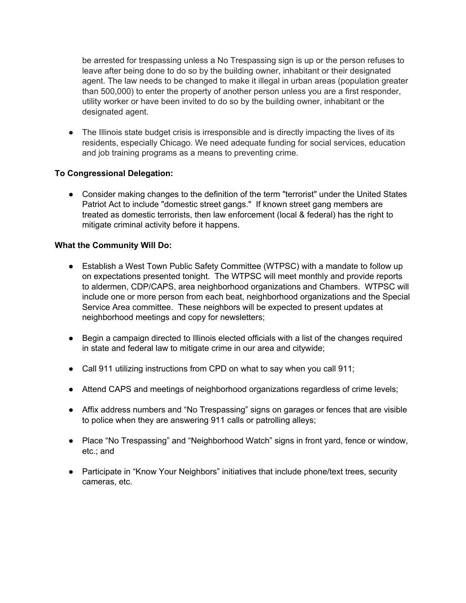be arrested for trespassing unless a No Trespassing sign is up or the person refuses to leave after being done to do so by the building owner, inhabitant or their designated agent. The law needs to be changed to make it illegal in urban areas (population greater than 500,000) to enter the property of another person unless you are a first responder, utility worker or have been invited to do so by the building owner, inhabitant or the designated agent.

• The Illinois state budget crisis is irresponsible and is directly impacting the lives of its residents, especially Chicago. We need adequate funding for social services, education and job training programs as a means to preventing crime.

### **To Congressional Delegation:**

● Consider making changes to the definition of the term "terrorist" under the United States Patriot Act to include "domestic street gangs." If known street gang members are treated as domestic terrorists, then law enforcement (local & federal) has the right to mitigate criminal activity before it happens.

### **What the Community Will Do:**

- Establish a West Town Public Safety Committee (WTPSC) with a mandate to follow up on expectations presented tonight. The WTPSC will meet monthly and provide reports to aldermen, CDP/CAPS, area neighborhood organizations and Chambers. WTPSC will include one or more person from each beat, neighborhood organizations and the Special Service Area committee. These neighbors will be expected to present updates at neighborhood meetings and copy for newsletters;
- Begin a campaign directed to Illinois elected officials with a list of the changes required in state and federal law to mitigate crime in our area and citywide;
- Call 911 utilizing instructions from CPD on what to say when you call 911;
- Attend CAPS and meetings of neighborhood organizations regardless of crime levels;
- Affix address numbers and "No Trespassing" signs on garages or fences that are visible to police when they are answering 911 calls or patrolling alleys;
- Place "No Trespassing" and "Neighborhood Watch" signs in front yard, fence or window, etc.; and
- Participate in "Know Your Neighbors" initiatives that include phone/text trees, security cameras, etc.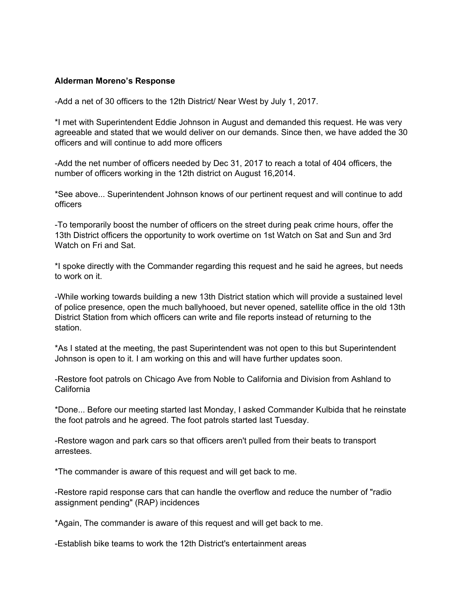#### **Alderman Moreno's Response**

-Add a net of 30 officers to the 12th District/ Near West by July 1, 2017.

\*I met with Superintendent Eddie Johnson in August and demanded this request. He was very agreeable and stated that we would deliver on our demands. Since then, we have added the 30 officers and will continue to add more officers

-Add the net number of officers needed by Dec 31, 2017 to reach a total of 404 officers, the number of officers working in the 12th district on August 16,2014.

\*See above... Superintendent Johnson knows of our pertinent request and will continue to add officers

-To temporarily boost the number of officers on the street during peak crime hours, offer the 13th District officers the opportunity to work overtime on 1st Watch on Sat and Sun and 3rd Watch on Fri and Sat.

\*I spoke directly with the Commander regarding this request and he said he agrees, but needs to work on it.

-While working towards building a new 13th District station which will provide a sustained level of police presence, open the much ballyhooed, but never opened, satellite office in the old 13th District Station from which officers can write and file reports instead of returning to the station.

\*As I stated at the meeting, the past Superintendent was not open to this but Superintendent Johnson is open to it. I am working on this and will have further updates soon.

-Restore foot patrols on Chicago Ave from Noble to California and Division from Ashland to **California** 

\*Done... Before our meeting started last Monday, I asked Commander Kulbida that he reinstate the foot patrols and he agreed. The foot patrols started last Tuesday.

-Restore wagon and park cars so that officers aren't pulled from their beats to transport arrestees.

\*The commander is aware of this request and will get back to me.

-Restore rapid response cars that can handle the overflow and reduce the number of "radio assignment pending" (RAP) incidences

\*Again, The commander is aware of this request and will get back to me.

-Establish bike teams to work the 12th District's entertainment areas